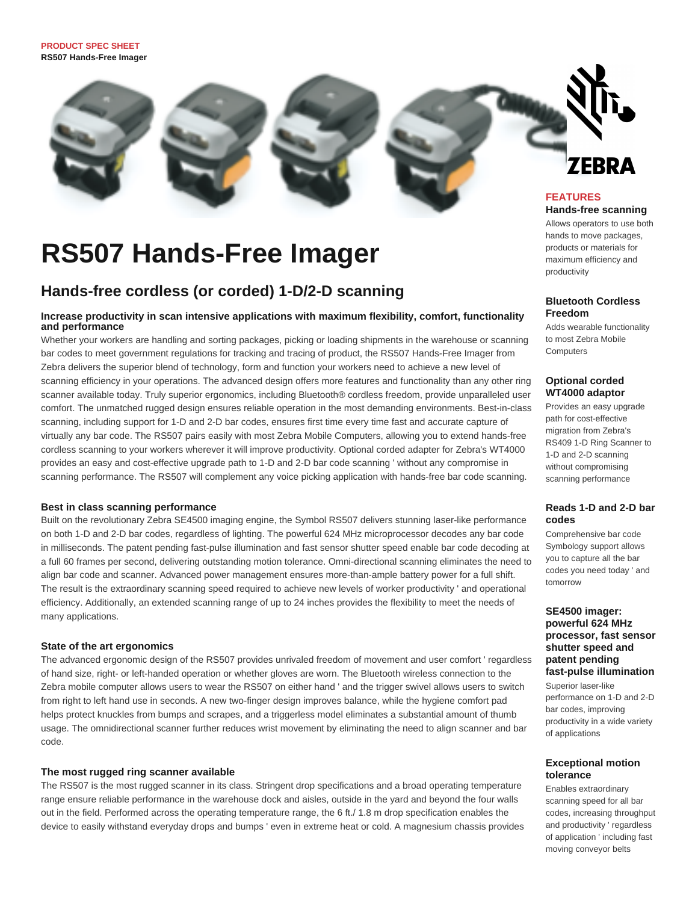

# **RS507 Hands-Free Imager**

### **Hands-free cordless (or corded) 1-D/2-D scanning**

### **Increase productivity in scan intensive applications with maximum flexibility, comfort, functionality and performance**

Whether your workers are handling and sorting packages, picking or loading shipments in the warehouse or scanning bar codes to meet government regulations for tracking and tracing of product, the RS507 Hands-Free Imager from Zebra delivers the superior blend of technology, form and function your workers need to achieve a new level of scanning efficiency in your operations. The advanced design offers more features and functionality than any other ring scanner available today. Truly superior ergonomics, including Bluetooth® cordless freedom, provide unparalleled user comfort. The unmatched rugged design ensures reliable operation in the most demanding environments. Best-in-class scanning, including support for 1-D and 2-D bar codes, ensures first time every time fast and accurate capture of virtually any bar code. The RS507 pairs easily with most Zebra Mobile Computers, allowing you to extend hands-free cordless scanning to your workers wherever it will improve productivity. Optional corded adapter for Zebra's WT4000 provides an easy and cost-effective upgrade path to 1-D and 2-D bar code scanning ' without any compromise in scanning performance. The RS507 will complement any voice picking application with hands-free bar code scanning.

### **Best in class scanning performance**

Built on the revolutionary Zebra SE4500 imaging engine, the Symbol RS507 delivers stunning laser-like performance on both 1-D and 2-D bar codes, regardless of lighting. The powerful 624 MHz microprocessor decodes any bar code in milliseconds. The patent pending fast-pulse illumination and fast sensor shutter speed enable bar code decoding at a full 60 frames per second, delivering outstanding motion tolerance. Omni-directional scanning eliminates the need to align bar code and scanner. Advanced power management ensures more-than-ample battery power for a full shift. The result is the extraordinary scanning speed required to achieve new levels of worker productivity ' and operational efficiency. Additionally, an extended scanning range of up to 24 inches provides the flexibility to meet the needs of many applications.

### **State of the art ergonomics**

The advanced ergonomic design of the RS507 provides unrivaled freedom of movement and user comfort ' regardless of hand size, right- or left-handed operation or whether gloves are worn. The Bluetooth wireless connection to the Zebra mobile computer allows users to wear the RS507 on either hand ' and the trigger swivel allows users to switch from right to left hand use in seconds. A new two-finger design improves balance, while the hygiene comfort pad helps protect knuckles from bumps and scrapes, and a triggerless model eliminates a substantial amount of thumb usage. The omnidirectional scanner further reduces wrist movement by eliminating the need to align scanner and bar code.

### **The most rugged ring scanner available**

The RS507 is the most rugged scanner in its class. Stringent drop specifications and a broad operating temperature range ensure reliable performance in the warehouse dock and aisles, outside in the yard and beyond the four walls out in the field. Performed across the operating temperature range, the 6 ft./ 1.8 m drop specification enables the device to easily withstand everyday drops and bumps ' even in extreme heat or cold. A magnesium chassis provides

Allows operators to use both hands to move packages products or materials for maximum efficiency and productivity

### **Bluetooth Cordless Freedom**

Adds wearable functionality to most Zebra Mobile **Computers** 

### **Optional corded WT4000 adaptor**

Provides an easy upgrade path for cost-effective migration from Zebra's RS409 1-D Ring Scanner to 1-D and 2-D scanning without compromising scanning performance

### **Reads 1-D and 2-D bar codes**

Comprehensive bar code Symbology support allows you to capture all the bar codes you need today ' and tomorrow

### **SE4500 imager: powerful 624 MHz processor, fast sensor shutter speed and patent pending fast-pulse illumination**

Superior laser-like performance on 1-D and 2-D bar codes, improving productivity in a wide variety of applications

### **Exceptional motion tolerance**

Enables extraordinary scanning speed for all bar codes, increasing throughput and productivity ' regardless of application ' including fast moving conveyor belts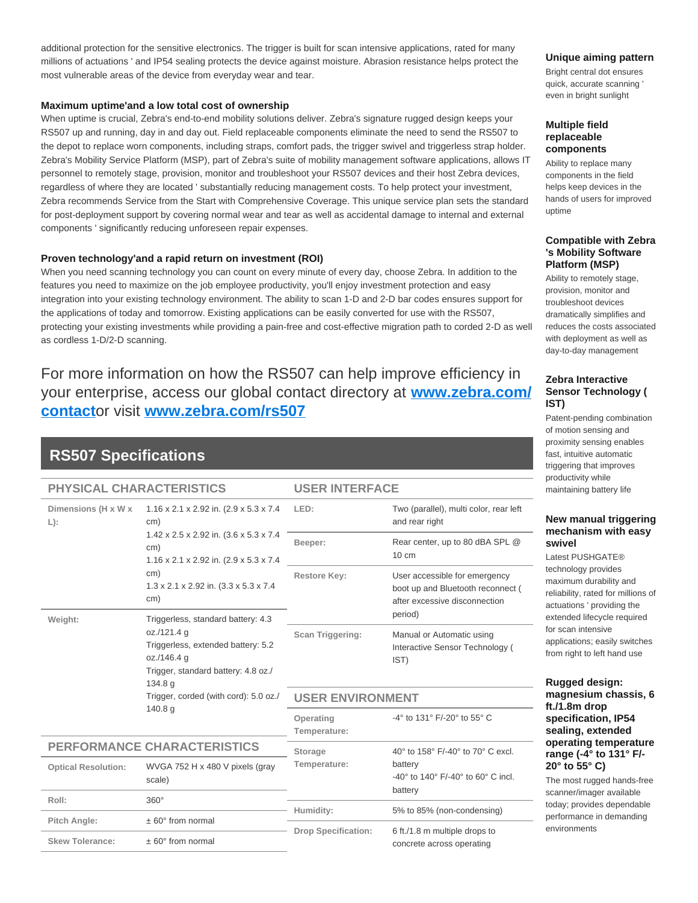additional protection for the sensitive electronics. The trigger is built for scan intensive applications, rated for many millions of actuations ' and IP54 sealing protects the device against moisture. Abrasion resistance helps protect the most vulnerable areas of the device from everyday wear and tear.

### **Maximum uptime'and a low total cost of ownership**

When uptime is crucial, Zebra's end-to-end mobility solutions deliver. Zebra's signature rugged design keeps your RS507 up and running, day in and day out. Field replaceable components eliminate the need to send the RS507 to the depot to replace worn components, including straps, comfort pads, the trigger swivel and triggerless strap holder. Zebra's Mobility Service Platform (MSP), part of Zebra's suite of mobility management software applications, allows IT personnel to remotely stage, provision, monitor and troubleshoot your RS507 devices and their host Zebra devices, regardless of where they are located ' substantially reducing management costs. To help protect your investment, Zebra recommends Service from the Start with Comprehensive Coverage. This unique service plan sets the standard for post-deployment support by covering normal wear and tear as well as accidental damage to internal and external components ' significantly reducing unforeseen repair expenses.

### **Proven technology'and a rapid return on investment (ROI)**

When you need scanning technology you can count on every minute of every day, choose Zebra. In addition to the features you need to maximize on the job employee productivity, you'll enjoy investment protection and easy integration into your existing technology environment. The ability to scan 1-D and 2-D bar codes ensures support for the applications of today and tomorrow. Existing applications can be easily converted for use with the RS507, protecting your existing investments while providing a pain-free and cost-effective migration path to corded 2-D as well as cordless 1-D/2-D scanning.

For more information on how the RS507 can help improve efficiency in your enterprise, access our global contact directory at **[www.zebra.com/](http://www.zebra.com/contact) [contact](http://www.zebra.com/contact)**or visit **[www.zebra.com/rs507](http://www.zebra.com/rs507)**

### **RS507 Specifications**

#### **PHYSICAL CHARACTERISTICS**

#### **USER INTERFACE**

| Dimensions (H x W x<br>$L)$ :      | $1.16 \times 2.1 \times 2.92$ in. $(2.9 \times 5.3 \times 7.4)$<br>cm)                                                                                   | LED:                       | Two (parallel), multi color, rear left<br>and rear right                                                       |  |
|------------------------------------|----------------------------------------------------------------------------------------------------------------------------------------------------------|----------------------------|----------------------------------------------------------------------------------------------------------------|--|
|                                    | 1.42 x 2.5 x 2.92 in. (3.6 x 5.3 x 7.4<br>cm)<br>1.16 x 2.1 x 2.92 in. (2.9 x 5.3 x 7.4<br>cm)<br>1.3 x 2.1 x 2.92 in. (3.3 x 5.3 x 7.4<br>cm)           | Beeper:                    | Rear center, up to 80 dBA SPL @<br>$10 \text{ cm}$                                                             |  |
|                                    |                                                                                                                                                          | <b>Restore Key:</b>        | User accessible for emergency<br>boot up and Bluetooth reconnect (<br>after excessive disconnection<br>period) |  |
| Weight:                            | Triggerless, standard battery: 4.3<br>oz./121.4 g<br>Triggerless, extended battery: 5.2<br>oz./146.4 g<br>Trigger, standard battery: 4.8 oz./<br>134.8 g | Scan Triggering:           | Manual or Automatic using<br>Interactive Sensor Technology (<br>IST)                                           |  |
|                                    | Trigger, corded (with cord): 5.0 oz./<br>140.8 <sub>g</sub>                                                                                              | <b>USER ENVIRONMENT</b>    |                                                                                                                |  |
|                                    |                                                                                                                                                          | Operating<br>Temperature:  | -4° to 131° F/-20° to 55° C                                                                                    |  |
| <b>PERFORMANCE CHARACTERISTICS</b> |                                                                                                                                                          | <b>Storage</b>             | 40° to 158° F/-40° to 70° C excl.                                                                              |  |
| <b>Optical Resolution:</b>         | WVGA 752 H x 480 V pixels (gray<br>scale)                                                                                                                | Temperature:               | battery<br>$-40^{\circ}$ to 140° F/-40° to 60° C incl.<br>battery                                              |  |
| Roll:                              | $360^\circ$                                                                                                                                              |                            |                                                                                                                |  |
| Pitch Angle:                       | $± 60°$ from normal                                                                                                                                      | Humidity:                  | 5% to 85% (non-condensing)                                                                                     |  |
| <b>Skew Tolerance:</b>             | $± 60°$ from normal                                                                                                                                      | <b>Drop Specification:</b> | 6 ft./1.8 m multiple drops to<br>concrete across operating                                                     |  |

### **Unique aiming pattern**

Bright central dot ensures quick, accurate scanning ' even in bright sunlight

### **Multiple field replaceable components**

Ability to replace many components in the field helps keep devices in the hands of users for improved uptime

### **Compatible with Zebra 's Mobility Software Platform (MSP)**

Ability to remotely stage, provision, monitor and troubleshoot devices dramatically simplifies and reduces the costs associated with deployment as well as day-to-day management

### **Zebra Interactive Sensor Technology ( IST)**

Patent-pending combination of motion sensing and proximity sensing enables fast, intuitive automatic triggering that improves productivity while maintaining battery life

### **New manual triggering mechanism with easy swivel**

Latest PUSHGATE® technology provides maximum durability and reliability, rated for millions of actuations ' providing the extended lifecycle required for scan intensive applications; easily switches from right to left hand use

### **Rugged design: magnesium chassis, 6 ft./1.8m drop specification, IP54 sealing, extended operating temperature range (-4° to 131° F/- 20° to 55° C)**

The most rugged hands-free scanner/imager available today; provides dependable performance in demanding environments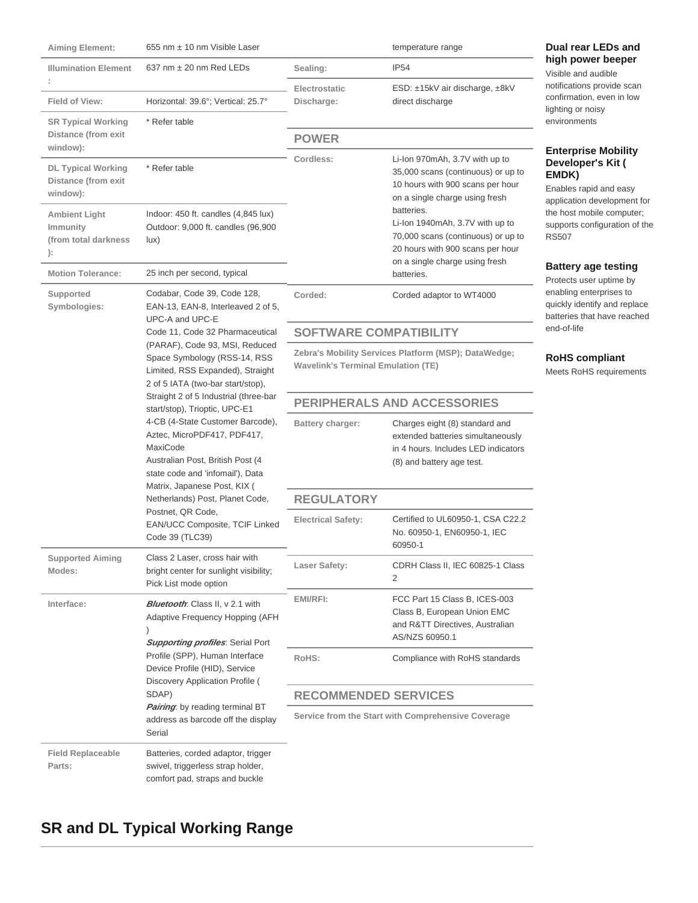| <b>Aiming Element:</b>                                                   | 655 nm ± 10 nm Visible Laser                                                                                                                                                                                                                                                                                                                                                                                                                                                                                          |                                                                                                   | temperature range                                                                                                                                         | Dual rear LEDs and                                                                                                                                                                                                                                       |
|--------------------------------------------------------------------------|-----------------------------------------------------------------------------------------------------------------------------------------------------------------------------------------------------------------------------------------------------------------------------------------------------------------------------------------------------------------------------------------------------------------------------------------------------------------------------------------------------------------------|---------------------------------------------------------------------------------------------------|-----------------------------------------------------------------------------------------------------------------------------------------------------------|----------------------------------------------------------------------------------------------------------------------------------------------------------------------------------------------------------------------------------------------------------|
| <b>Illumination Element</b>                                              | 637 nm $\pm$ 20 nm Red LEDs                                                                                                                                                                                                                                                                                                                                                                                                                                                                                           | Sealing:                                                                                          | IP <sub>54</sub>                                                                                                                                          | high power beeper<br>Visible and audible                                                                                                                                                                                                                 |
| Field of View:<br><b>SR Typical Working</b>                              | Horizontal: 39.6°; Vertical: 25.7°<br>* Refer table                                                                                                                                                                                                                                                                                                                                                                                                                                                                   | Electrostatic<br>Discharge:                                                                       | ESD: ±15kV air discharge, ±8kV<br>direct discharge                                                                                                        | notifications provide scan<br>confirmation, even in low<br>lighting or noisy<br>environments                                                                                                                                                             |
| Distance (from exit                                                      |                                                                                                                                                                                                                                                                                                                                                                                                                                                                                                                       | <b>POWER</b>                                                                                      |                                                                                                                                                           |                                                                                                                                                                                                                                                          |
| window):<br><b>DL Typical Working</b><br>Distance (from exit<br>window): | * Refer table                                                                                                                                                                                                                                                                                                                                                                                                                                                                                                         | Cordless:                                                                                         | Li-Ion 970mAh, 3.7V with up to<br>35,000 scans (continuous) or up to<br>10 hours with 900 scans per hour<br>on a single charge using fresh                | <b>Enterprise Mobility</b><br>Developer's Kit (<br>EMDK)<br>Enables rapid and easy<br>application development for<br>the host mobile computer;<br>supports configuration of the<br><b>RS507</b><br><b>Battery age testing</b><br>Protects user uptime by |
| <b>Ambient Light</b><br>Immunity<br>(from total darkness<br>):           | Indoor: 450 ft. candles (4,845 lux)<br>Outdoor: 9,000 ft. candles (96,900<br>lux)                                                                                                                                                                                                                                                                                                                                                                                                                                     |                                                                                                   | batteries.<br>Li-Ion 1940mAh, 3.7V with up to<br>70,000 scans (continuous) or up to<br>20 hours with 900 scans per hour<br>on a single charge using fresh |                                                                                                                                                                                                                                                          |
| <b>Motion Tolerance:</b>                                                 | 25 inch per second, typical                                                                                                                                                                                                                                                                                                                                                                                                                                                                                           |                                                                                                   | batteries.                                                                                                                                                |                                                                                                                                                                                                                                                          |
| Supported<br>Symbologies:                                                | Codabar, Code 39, Code 128,<br>EAN-13, EAN-8, Interleaved 2 of 5,<br>UPC-A and UPC-E                                                                                                                                                                                                                                                                                                                                                                                                                                  | Corded:                                                                                           | Corded adaptor to WT4000                                                                                                                                  | enabling enterprises to<br>quickly identify and replace<br>batteries that have reached                                                                                                                                                                   |
|                                                                          | Code 11, Code 32 Pharmaceutical                                                                                                                                                                                                                                                                                                                                                                                                                                                                                       | <b>SOFTWARE COMPATIBILITY</b>                                                                     |                                                                                                                                                           | end-of-life                                                                                                                                                                                                                                              |
|                                                                          | (PARAF), Code 93, MSI, Reduced<br>Space Symbology (RSS-14, RSS<br>Limited, RSS Expanded), Straight<br>2 of 5 IATA (two-bar start/stop),<br>Straight 2 of 5 Industrial (three-bar<br>start/stop), Trioptic, UPC-E1<br>4-CB (4-State Customer Barcode),<br>Aztec, MicroPDF417, PDF417,<br>MaxiCode<br>Australian Post, British Post (4<br>state code and 'infomail'), Data<br>Matrix, Japanese Post, KIX (<br>Netherlands) Post, Planet Code,<br>Postnet, QR Code,<br>EAN/UCC Composite, TCIF Linked<br>Code 39 (TLC39) | Zebra's Mobility Services Platform (MSP); DataWedge;<br><b>Wavelink's Terminal Emulation (TE)</b> |                                                                                                                                                           | <b>RoHS compliant</b><br>Meets RoHS requirements                                                                                                                                                                                                         |
|                                                                          |                                                                                                                                                                                                                                                                                                                                                                                                                                                                                                                       | <b>PERIPHERALS AND ACCESSORIES</b>                                                                |                                                                                                                                                           |                                                                                                                                                                                                                                                          |
|                                                                          |                                                                                                                                                                                                                                                                                                                                                                                                                                                                                                                       | Battery charger:                                                                                  | Charges eight (8) standard and<br>extended batteries simultaneously<br>in 4 hours. Includes LED indicators<br>(8) and battery age test.                   |                                                                                                                                                                                                                                                          |
|                                                                          |                                                                                                                                                                                                                                                                                                                                                                                                                                                                                                                       | <b>REGULATORY</b>                                                                                 |                                                                                                                                                           |                                                                                                                                                                                                                                                          |
|                                                                          |                                                                                                                                                                                                                                                                                                                                                                                                                                                                                                                       | <b>Electrical Safety:</b>                                                                         | Certified to UL60950-1, CSA C22.2<br>No. 60950-1, EN60950-1, IEC<br>60950-1                                                                               |                                                                                                                                                                                                                                                          |
| <b>Supported Aiming</b><br>Modes:                                        | Class 2 Laser, cross hair with<br>bright center for sunlight visibility;<br>Pick List mode option                                                                                                                                                                                                                                                                                                                                                                                                                     | Laser Safety:                                                                                     | CDRH Class II, IEC 60825-1 Class<br>2                                                                                                                     |                                                                                                                                                                                                                                                          |
| Interface:                                                               | <b>Bluetooth:</b> Class II, v 2.1 with<br>Adaptive Frequency Hopping (AFH<br><b>Supporting profiles</b> : Serial Port<br>Profile (SPP), Human Interface<br>Device Profile (HID), Service<br>Discovery Application Profile (<br>SDAP)<br>Pairing: by reading terminal BT<br>address as barcode off the display<br>Serial                                                                                                                                                                                               | EMI/RFI:                                                                                          | FCC Part 15 Class B, ICES-003<br>Class B, European Union EMC<br>and R&TT Directives, Australian<br>AS/NZS 60950.1                                         |                                                                                                                                                                                                                                                          |
|                                                                          |                                                                                                                                                                                                                                                                                                                                                                                                                                                                                                                       | RoHS:                                                                                             | Compliance with RoHS standards                                                                                                                            |                                                                                                                                                                                                                                                          |
|                                                                          |                                                                                                                                                                                                                                                                                                                                                                                                                                                                                                                       | <b>RECOMMENDED SERVICES</b>                                                                       |                                                                                                                                                           |                                                                                                                                                                                                                                                          |
|                                                                          |                                                                                                                                                                                                                                                                                                                                                                                                                                                                                                                       |                                                                                                   | Service from the Start with Comprehensive Coverage                                                                                                        |                                                                                                                                                                                                                                                          |
| <b>Field Replaceable</b><br>Parts:                                       | Batteries, corded adaptor, trigger<br>swivel, triggerless strap holder,<br>comfort pad, straps and buckle                                                                                                                                                                                                                                                                                                                                                                                                             |                                                                                                   |                                                                                                                                                           |                                                                                                                                                                                                                                                          |

## **SR and DL Typical Working Range**